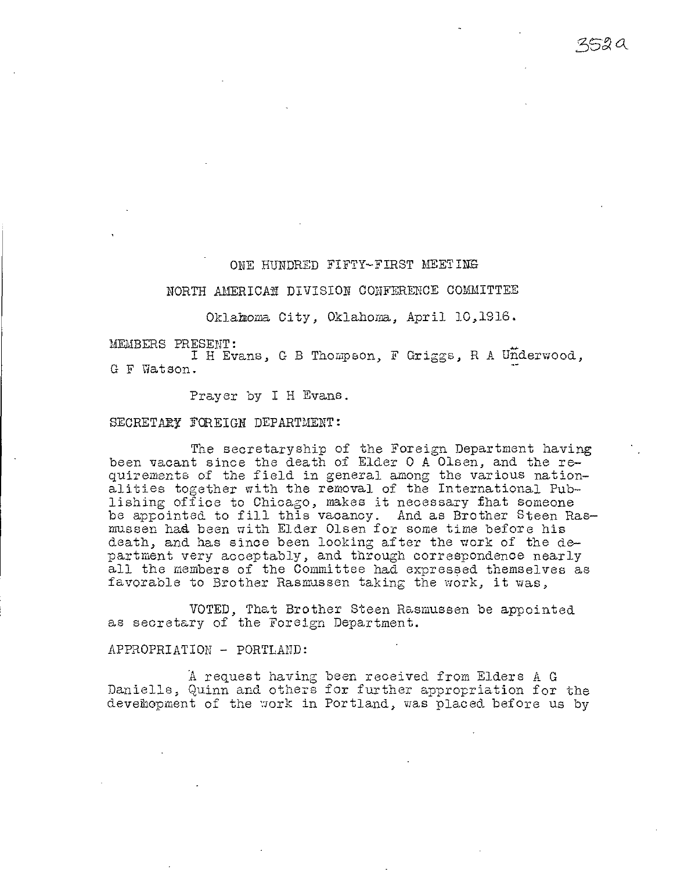ONE HUNDRED FIFTY-FIRST MEETING

ssA

# NORTH AMERICAN DIVISION CONFERENCE COMMITTEE

Oklahoma City, Oklahoma, April 10,1916.

MEMBERS PRESENT:

I H Evans, G B Thompson, F Griggs, R A Underwood, G F Watson.

Prayer by I H Evans.

SECRETARY FOREIGN DEPARTMENT:

The secretaryship of the Foreign Department having been vacant since the death of Elder 0 A Olsen, and the requirements of the field in general among the various nationalities together with the removal of the International Publishing office to Chicago, makes it necessary that someone be appointed to fill this vacancy. And as Brother Steen Rasmussen had been with Elder Olsen for some time before his death, and has since been looking after the work of the department very acceptably, and through correspondence nearly all the members of the Committee had expressed themselves as favorable to Brother Rasmussen taking the work, it was,

VOTED, That Brother Steen Rasmussen be appointed as secretary of the Foreign Department.

### APPROPRIATION - PORTLAND:

A request having been received from Elders A G Danielle, Quinn and others for further appropriation for the deveihopment of the work in Portland, was placed before us by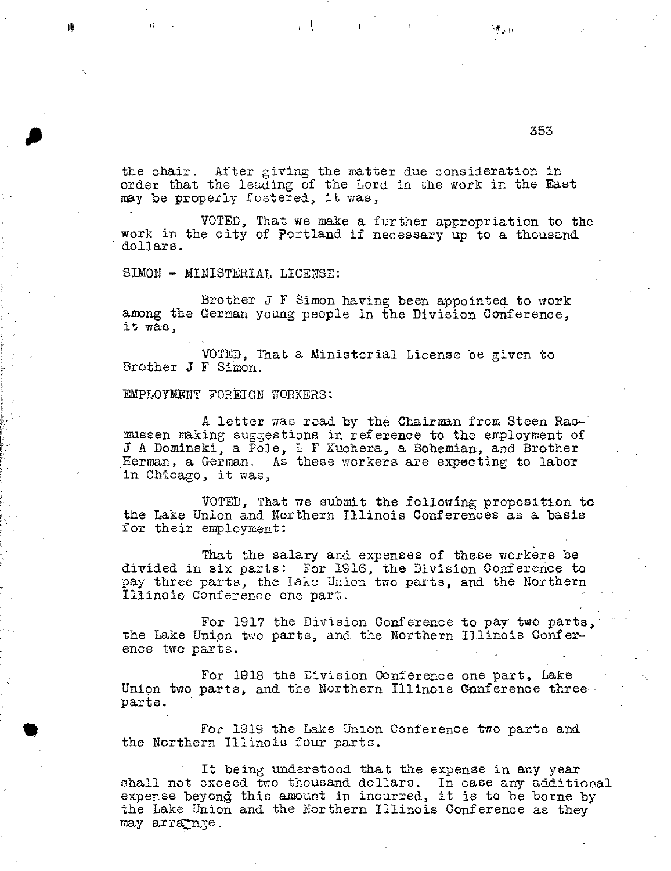the chair. After giving the matter due consideration in order that the leading of the Lord in the work in the East may be properly fostered, it was,

 $\mathbf{1}$ 

VOTED, That we make a further appropriation to the work in the city of Portland if necessary up to a thousand dollars.

SIMON - MINISTERIAL LICENSE:

Brother J F Simon having been appointed to work among the German young people in the Division Conference, it was,

VOTED, That a Ministerial License be given to Brother J F Simon.

# EMPLOYMENT FOREIGN WORKERS:

A letter was read by the Chairman from Steen Rasmussen making suggestions in reference to the employment of J A Dominski, a Pole, L F Kuchera, a Bohemian, and Brother Herman, a German. As these workers are expecting to labor in Chicago, it was,

VOTED, That we submit the following proposition to the Lake Union and Northern Illinois Conferences as a basis for their employment:

That the salary and expenses of these workers be divided in six parts: For 1916, the Division Conference to pay three parts, the Lake Union two parts, and the Northern Illinois Conference one part.

For 1917 the Division Conference to pay two parts, the Lake Union two parts, and the Northern Illinois Conference two parts.

For 1918 the Division Conference'one part, Lake Union two parts, and the Northern Illinois Conference three. parts.

For 1919 the Lake Union Conference two parts and the Northern Illinois four parts.

It being understood that the expense in any year shall not exceed two thousand dollars. In case any additional expense beyond this amount in incurred, it is to be borne by the Lake Union and the Northern Illinois Conference as they may arra-nge.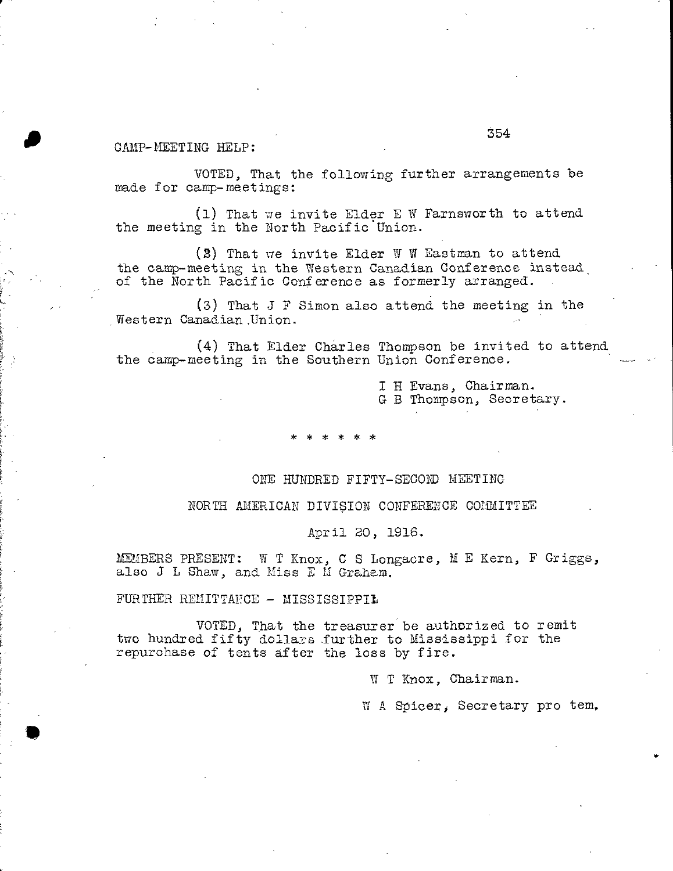# CAMP-MEETING HELP:

a

VOTED, That the following further arrangements be made for camp-meetings:

(1) That we invite Eider E W Farnsworth to attend the meeting in the North Pacific Union.

 $(2)$  That we invite Elder W W Eastman to attend the camp-meeting in the Western Canadian Conference instead, of the North Pacific Conference as formerly arranged.

(3) That J F Simon also attend the meeting in the Western Canadian.Union.

(4) That Elder Charles Thompson be invited to attend the camp-meeting in the Southern Union Conference.

> I H Evans, Chairman. G B Thompson, Secretary.

### ONE HUNDRED FIFTY-SECOND MEETING

#### NORTH AMERICAN DIVISION CONFERENCE COMMITTEE

April 20, 1916.

MEMBERS PRESENT: W T Knox, C S Longacre, M E Kern, F Griggs, also J L Shaw, and Miss E M Graham.

FURTHER REMITTANCE - MISSISSIPPIL

VOTED, That the treasurer be authorized to remit two hundred fifty dollars further to Mississippi for the repurchase of tents after the loss by fire.

W T Knox, Chairman.

W A Spicer, Secretary pro tem,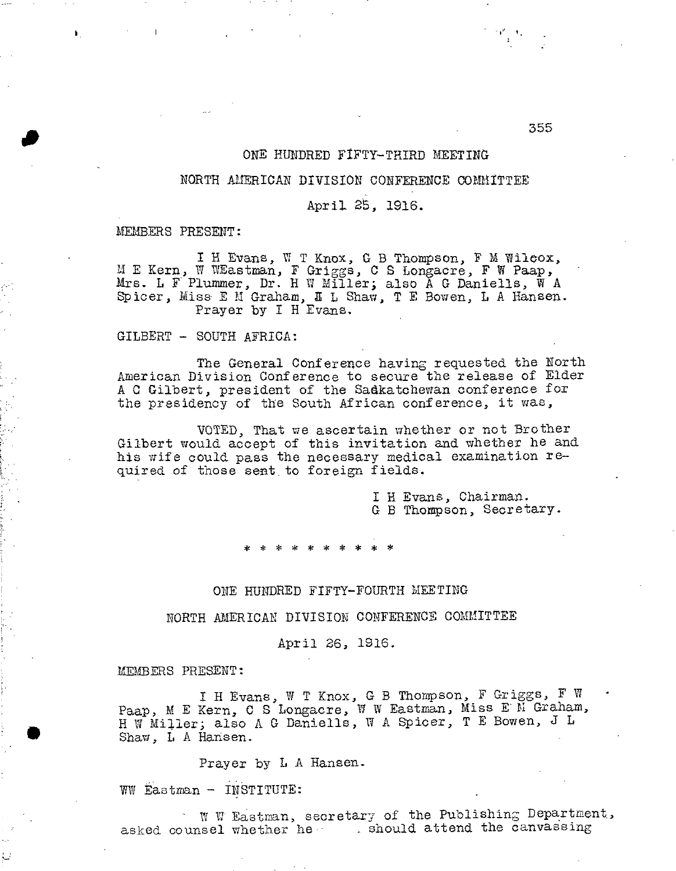# ONE HUNDRED FIFTY-THIRD MEETING

# NORTH AMERICAN DIVISION CONFERENCE COMMITTEE

# April 25, 1916.

MEMBERS PRESENT:

a

 $\mathbf{F}$ 

I H Evans, W T Knox, G B Thompson, F M Wilcox, E Kern, W WEastman, F Griggs, C S Longacre, F W Paap, Mrs. L F Plummer, Dr. H W Miller; also A G Daniells, W A Spicer, Miss E M Graham, A L Shaw, T E Bowen, L A Hansen. Prayer by I H Evans.

GILBERT - SOUTH AFRICA:

The General Conference having requested the North American Division Conference to secure the release of Elder A 0 Gilbert, president of the Sadkatchewan conference for the presidency of the South African conference, it was,

VOTED, That we ascertain whether or not Brother Gilbert would accept of this invitation and whether he and his wife could pass the necessary medical examination required of those sent to foreign fields.

> I H Evans, Chairman. G B Thompson, Secretary.

# ONE HUNDRED FIFTY-FOURTH MEETING

NORTH AMERICAN DIVISION CONFERENCE COMMITTEE

April 26, 1916.

MEMBERS PRESENT:

I H Evans, W T Knox, G B Thompson, F Griggs, F W Paap, M E Kern, C S Longacre, W W Eastman, Miss E M Graham, H W Miller; also A G Daniells, W A Spicer, T E Bowen, J L Shaw, L A Hansen.

Prayer by L A Hansen.

WW Eastman - INSTITUTE:

W VI Eastman, secretary of the Publishing Department, asked counsel whether he ashould attend the canvassing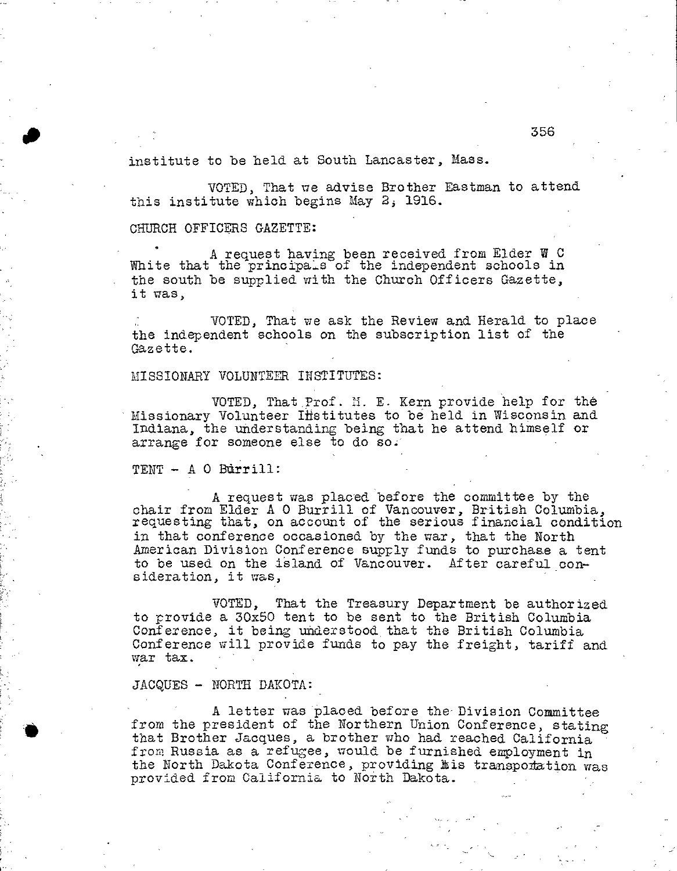institute to be held at South Lancaster, Mass.

VOTED, That we advise Brother Eastman to attend this institute which begins May 2; 1916.

CHURCH OFFICERS GAZETTE:

A request having been received from Elder W C White that the principals of the independent schools in the south be supplied with the Church Officers Gazette, it was,

VOTED, That we ask the Review and Herald to place the independent schools on the subscription list of the Gazette.

# MISSIONARY VOLUNTEER INSTITUTES:

VOTED, That prof. M. E. Kern provide help for the Missionary Volunteer Iffstitutes to be held in Wisconsin and Indiana, the understanding being that he attend himself or arrange for someone else to do so.

TENT - A 0 Bdrrill:

A request was placed before the committee by the chair from Elder A 0 Burrill of Vancouver, British Columbia, requesting that, on account of the serious financial condition in that conference occasioned by the war, that the North American Division Conference supply funds to purchase a tent to be used on the island of Vancouver. After careful consideration, it was,

VOTED, That the Treasury Department be authorized to provide a 30x50 tent to be sent to the British Columbia Conference, it being understood that the British Columbia Conference will provide funds to pay the freight, tariff and war tax.

# JACQUES - NORTH DAKOTA:

A letter was placed before the- Division Committee from the president of the Northern Union Conference, stating that Brother Jacques, a brother who had reached California from Russia as a refugee, would be furnished employment in the North Dakota Conference, providing his transponation was provided from California to North Dakota.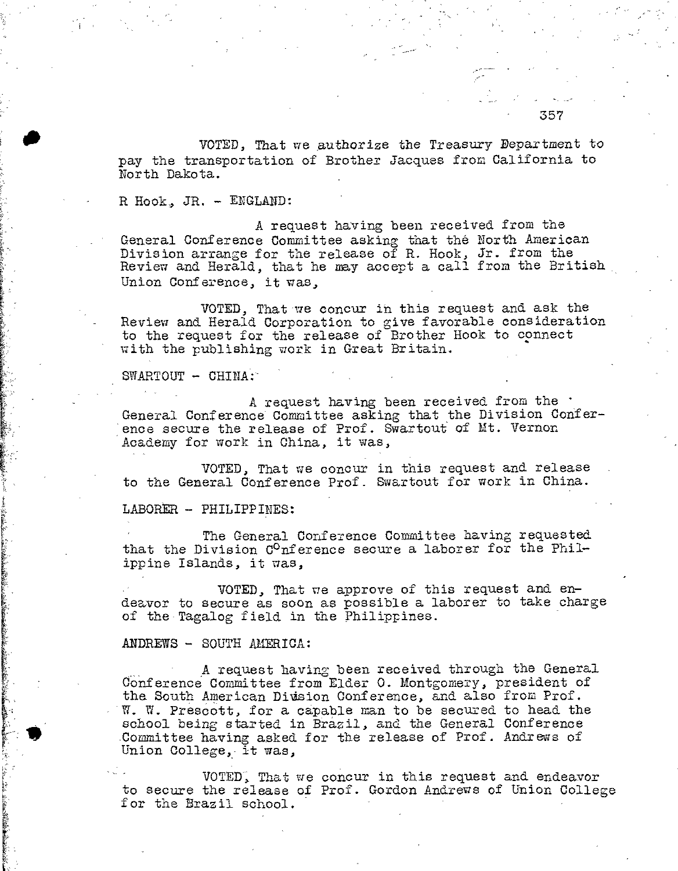VOTED, That we authorize the Treasury Department to pay the transportation of Brother Jacques from California to North Dakota.

R Hook, JR. - ENGLAND:

A request having been received from the General Conference Committee asking that the North American Division arrange for the release of R. Hook, Jr. from the Review and Herald, that he may accept a call from the British Union Conference, it was,

VOTED, That we concur in this request and ask the Review and Herald Corporation to give favorable consideration to the request for the release of Brother Hook to connect with the publishing work in Great Britain.

SWARTOUT - CHINA:

A request having been received from the  $\cdot$ General Conference Committee asking that the Division Conference secure the release of Prof. Swartout of Mt. Vernon Academy for work in China, it was,

VOTED, That we concur in this request and release to the General Conference Prof. Swartout for work in China.

LABORER - PHILIPPINES:

The General Conference Committee having requested that the Division  $C^0$ nference secure a laborer for the Philippine Islands, it was,

VOTED, That we approve of this request and endeavor to secure as soon as possible a laborer to take charge of the Tagalog field in the Philippines.

ANDREWS - SOUTH AMERICA:

A request having been received through the General Conference Committee from Elder 0. Montgomery, president of the South American Diusion Conference, and also from Prof. W. W. Prescott, for a capable man to be secured to head the school being started in Brazil, and the General Conference .Committee having asked for the release of Prof. Andrews of Union College, it was,

VOTED; That we concur in this request and endeavor to secure the release of Prof. Gordon Andrews of Union College for the Brazil school.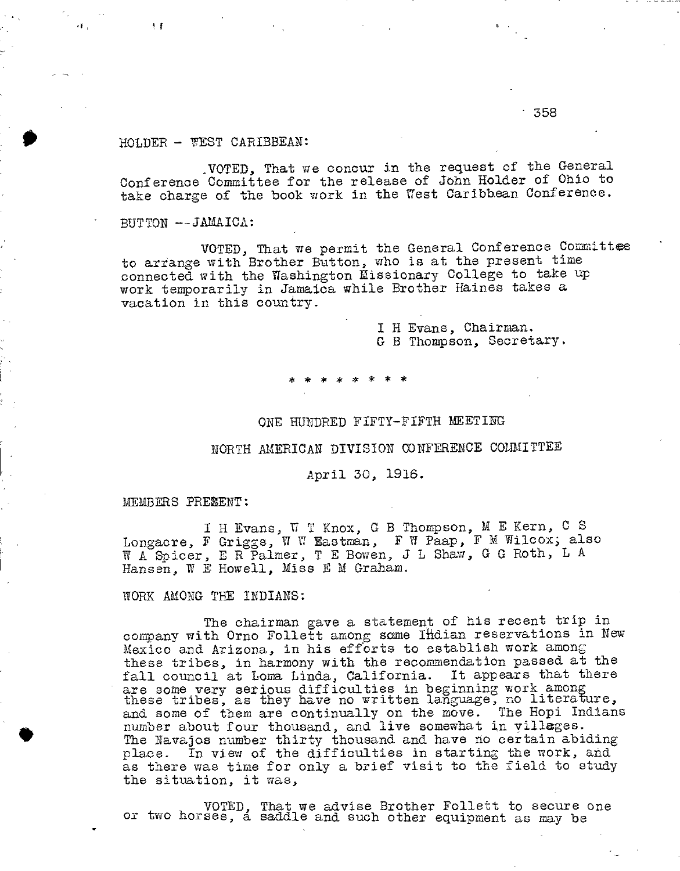358

# HOLDER - WEST CARIBBEAN:

,VOTED, That we concur in the request of the General Conference Committee for the release of John Holder of Ohio to take charge of the book work in the West Caribbean Conference.

BUTTON --JAMAICA:

 $+$ 

VOTED, That we permit the General Conference Committee to arrange with Brother Button, who is at the present time connected with the Washington Missionary College to take up work temporarily in Jamaica while Brother Haines takes a vacation in this country.

> I H Evans, Chairman. G B Thompson, Secretary.

\* \* \* \* \* \* \* \*

### ONE HUNDRED FIFTY-FIFTH MEETING

# NORTH AMERICAN DIVISION CONFERENCE COMMITTEE

### April 30, 1916.

MEMBERS PRESENT:

I Longacre, F W A Spicer, E R Palmer, T E Bowen, J L Shaw, G G Roth, L A Hansen, W E Howell, Miss E M Graham. H Evans, W T Knox, G B Thompson, M E Kern, C S Griggs, W W Eastman, F W Paap, F M Wilcox; also

WORK AMONG THE INDIANS:

The chairman gave a statement of his recent trip in company with Orno Follett among same Ifidian reservations in New Mexico and Arizona, in his efforts to establish work among these tribes, in harmony with the recommendation passed at the fall council at Loma Linda, California. It appears that there are some very serious difficulties in beginning work among these tribes, as they have no written language, no literature, and some of them are continually on the move. The Hopi Indians number about four thousand, and live somewhat in villages. The Navajos number thirty thousand and have no certain abiding place. In view of the difficulties in starting the work, and as there was time for only a brief visit to the field to study the situation, it was,

VOTED, That we advise Brother Follett to secure one or two horses, a saddle and such other equipment as may be